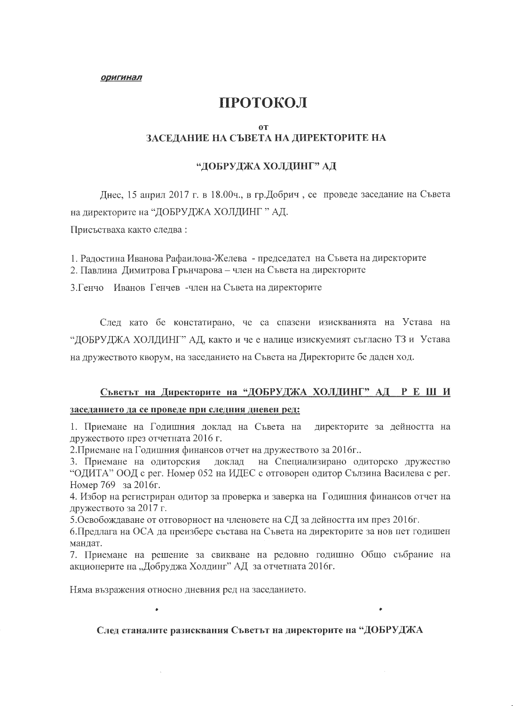## ПРОТОКОЛ

#### 0T

## ЗАСЕДАНИЕ НА СЪВЕТА НА ДИРЕКТОРИТЕ НА

#### "ДОБРУДЖА ХОЛДИНГ" АД

Днес, 15 април 2017 г. в 18.00ч., в гр.Добрич, се проведе заседание на Съвета на директорите на "ДОБРУДЖА ХОЛДИНГ" АД.

Присъстваха както следва:

1. Радостина Иванова Рафаилова-Желева - председател на Съвета на директорите 2. Павлина Димитрова Грънчарова – член на Съвета на директорите

3. Генчо Иванов Генчев - член на Съвета на директорите

След като бе констатирано, че са спазени изискванията на Устава на "ДОБРУДЖА ХОЛДИНГ" АД, както и че е налице изискуемият съгласно ТЗ и Устава на дружеството кворум, на заседанието на Съвета на Директорите бе даден ход.

# Съветът на Директорите на "ДОБРУДЖА ХОЛДИНГ" АД Р Е Ш И

#### заседанието да се проведе при следния дневен ред:

1. Приемане на Годишния доклад на Съвета на директорите за дейността на дружеството през отчетната 2016 г.

2. Приемане на Годишния финансов отчет на дружеството за 2016г..

на Специализирано одиторско дружество 3. Приемане на одиторския доклад "ОДИТА" ООД с рег. Номер 052 на ИДЕС с отговорен одитор Сълзина Василева с рег. Номер 769 за 2016г.

4. Избор на регистриран одитор за проверка и заверка на Годишния финансов отчет на дружеството за 2017 г.

5. Освобождаване от отговорност на членовете на СД за дейността им през 2016г.

6. Предлага на ОСА да преизбере състава на Съвета на директорите за нов пет годишен мандат.

7. Приемане на решение за свикване на редовно годишно Общо събрание на акционерите на "Добруджа Холдинг" АД за отчетната 2016г.

Няма възражения относно дневния ред на заседанието.

#### След станалите разисквания Съветът на директорите на "ДОБРУДЖА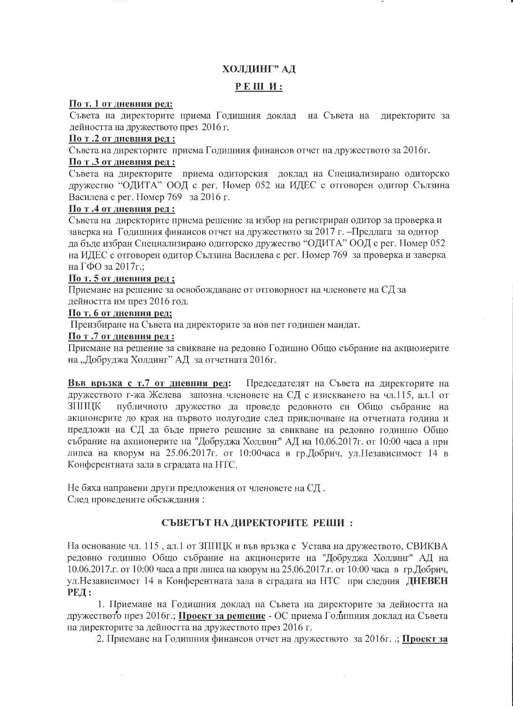## ХОЛДИНГ" АД

### РЕШИ:

#### По т. 1 от дневния ред:

Съвета на директорите приема Годишния доклад на Съвета на директорите за дейността на дружеството през 2016 г.

#### По т.2 от дневния ред:

Съвета на директорите приема Годишния финансов отчет на дружеството за 2016г.

#### По т .3 от дневния ред :

Съвета на директорите приема одиторския доклад на Специализирано одиторско дружество "ОДИТА" ООД с рег. Номер 052 на ИДЕС с отговорен одитор Сълзина Василева с рег. Номер 769 за 2016 г.

#### По т.4 от дневния ред:

Съвета на директорите приема решение за избор на регистриран одитор за проверка и заверка на Годишния финансов отчет на дружеството за 2017 г. – Предлага за одитор да бъде избран Специализирано одиторско дружество "ОДИТА" ООД с рег. Номер 052 на ИДЕС с отговорен одитор Сълзина Василева с рег. Номер 769 за проверка и заверка на ГФО за 2017 г.;

## По т. 5 от дневния ред;

Приемане на решение за освобождаване от отговорност на членовете на СД за дейността им през 2016 год.

## По т. 6 от дневния ред;

Преизбиране на Съвета на директорите за нов пет годишен мандат.

#### По т.7 от дневния ред:

Приемане на решение за свикване на редовно Годишно Общо събрание на акционерите на "Добруджа Холдинг" АД за отчетната 2016г.

Във връзка с т.7 от дневния ред: Председателят на Съвета на директорите на дружеството г-жа Желева запозна членовете на СД с изискването на чл.115, ал.1 от **ЗППИК** публичното дружество да проведе редовното си Общо събрание на акционерите до края на първото полугодие след приключване на отчетната година и предложи на СД да бъде прието решение за свикване на редовно годишно Общо събрание на акционерите на "Добруджа Холдинг" АД на 10.06.2017 г. от 10:00 часа а при липса на кворум на 25.06.2017г. от 10:00часа в гр.Добрич, ул.Независимост 14 в Конферентната зала в сградата на НТС.

Не бяха направени други предложения от членовете на СД. След проведените обсъждания:

## СЪВЕТЪТ НА ДИРЕКТОРИТЕ РЕШИ :

На основание чл. 115, ал.1 от ЗППЦК и във връзка с Устава на дружеството, СВИКВА редовно годишно Общо събрание на акционерите на "Добруджа Холдинг" АД на 10.06.2017.г. от 10:00 часа а при липса на кворум на 25.06.2017.г. от 10:00 часа в гр.Добрич, ул. Независимост 14 в Конферентната зала в сградата на НТС при следния ДНЕВЕН **РЕД:** 

1. Приемане на Годишния доклад на Съвета на директорите за дейността на дружеството през 2016г.; Проект за решение - ОС приема Годишния доклад на Съвета на директорите за дейността на дружеството през 2016 г.

2. Приемане на Годишния финансов отчет на дружеството за 2016г. .; Проект за